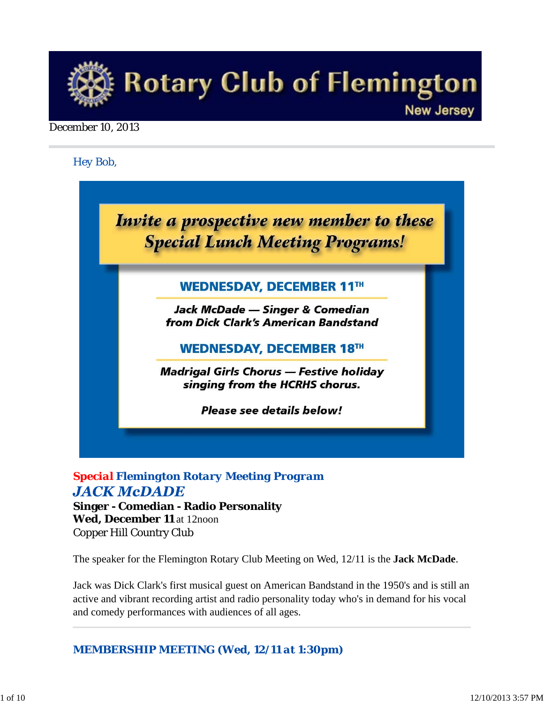

#### December 10, 2013

*Hey Bob,* 

Invite a prospective new member to these **Special Lunch Meeting Programs!** 

# **WEDNESDAY, DECEMBER 11TH**

Jack McDade — Singer & Comedian from Dick Clark's American Bandstand

# **WEDNESDAY, DECEMBER 18TH**

**Madrigal Girls Chorus — Festive holiday** singing from the HCRHS chorus.

Please see details below!

# *Special Flemington Rotary Meeting Program*  **JACK McDADE**

**Singer - Comedian - Radio Personality Wed, December 11** at 12noon Copper Hill Country Club

The speaker for the Flemington Rotary Club Meeting on Wed, 12/11 is the **Jack McDade**.

Jack was Dick Clark's first musical guest on American Bandstand in the 1950's and is still an active and vibrant recording artist and radio personality today who's in demand for his vocal and comedy performances with audiences of all ages.

*MEMBERSHIP MEETING (Wed, 12/11 at 1:30pm)*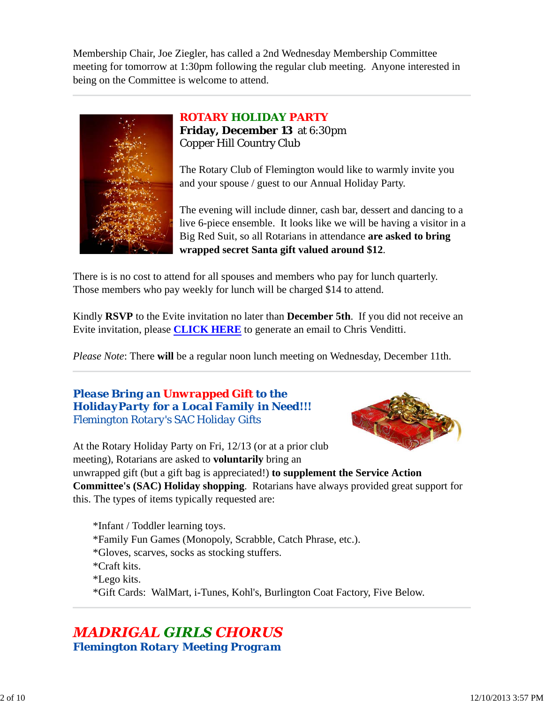Membership Chair, Joe Ziegler, has called a 2nd Wednesday Membership Committee meeting for tomorrow at 1:30pm following the regular club meeting. Anyone interested in being on the Committee is welcome to attend.



## *ROTARY HOLIDAY PARTY* **Friday, December 13** at 6:30pm Copper Hill Country Club

The Rotary Club of Flemington would like to warmly invite you and your spouse / guest to our Annual Holiday Party.

The evening will include dinner, cash bar, dessert and dancing to a live 6-piece ensemble. It looks like we will be having a visitor in a Big Red Suit, so all Rotarians in attendance **are asked to bring wrapped secret Santa gift valued around \$12**.

There is is no cost to attend for all spouses and members who pay for lunch quarterly. Those members who pay weekly for lunch will be charged \$14 to attend.

Kindly **RSVP** to the Evite invitation no later than **December 5th**. If you did not receive an Evite invitation, please **CLICK HERE** to generate an email to Chris Venditti.

*Please Note*: There **will** be a regular noon lunch meeting on Wednesday, December 11th.

# *Please Bring an Unwrapped Gift to the HolidayParty for a Local Family in Need!!! Flemington Rotary's SAC Holiday Gifts*



At the Rotary Holiday Party on Fri, 12/13 (or at a prior club meeting), Rotarians are asked to **voluntarily** bring an unwrapped gift (but a gift bag is appreciated!) **to supplement the Service Action Committee's (SAC) Holiday shopping**. Rotarians have always provided great support for this. The types of items typically requested are:

\*Infant / Toddler learning toys. \*Family Fun Games (Monopoly, Scrabble, Catch Phrase, etc.). \*Gloves, scarves, socks as stocking stuffers. \*Craft kits. \*Lego kits. \*Gift Cards: WalMart, i-Tunes, Kohl's, Burlington Coat Factory, Five Below.

# **MADRIGAL GIRLS CHORUS** *Flemington Rotary Meeting Program*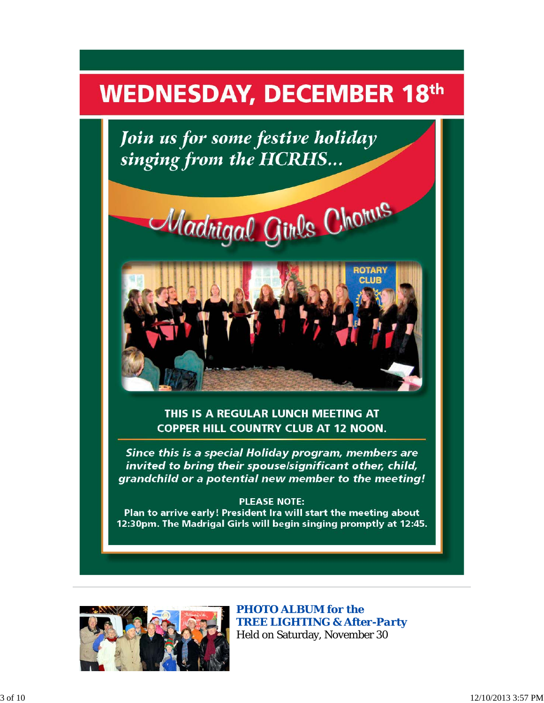# **WEDNESDAY, DECEMBER 18th**

Join us for some festive holiday singing from the HCRHS...





THIS IS A REGULAR LUNCH MEETING AT **COPPER HILL COUNTRY CLUB AT 12 NOON.** 

Since this is a special Holiday program, members are invited to bring their spouse/significant other, child, grandchild or a potential new member to the meeting!

#### **PLEASE NOTE:**

Plan to arrive early! President Ira will start the meeting about 12:30pm. The Madrigal Girls will begin singing promptly at 12:45.



*PHOTO ALBUM for the TREE LIGHTING & After-Party* Held on Saturday, November 30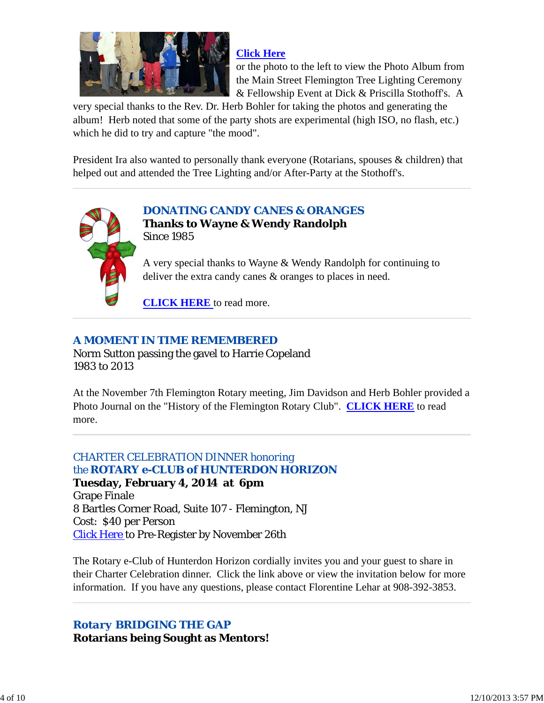

### **Click Here**

or the photo to the left to view the Photo Album from the Main Street Flemington Tree Lighting Ceremony & Fellowship Event at Dick & Priscilla Stothoff's. A

very special thanks to the Rev. Dr. Herb Bohler for taking the photos and generating the album! Herb noted that some of the party shots are experimental (high ISO, no flash, etc.) which he did to try and capture "the mood".

President Ira also wanted to personally thank everyone (Rotarians, spouses & children) that helped out and attended the Tree Lighting and/or After-Party at the Stothoff's.



*DONATING CANDY CANES & ORANGES* **Thanks to Wayne & Wendy Randolph** Since 1985

A very special thanks to Wayne & Wendy Randolph for continuing to deliver the extra candy canes & oranges to places in need.

**CLICK HERE** to read more.

# *A MOMENT IN TIME REMEMBERED*

Norm Sutton passing the gavel to Harrie Copeland 1983 to 2013

At the November 7th Flemington Rotary meeting, Jim Davidson and Herb Bohler provided a Photo Journal on the "History of the Flemington Rotary Club". **CLICK HERE** to read more.

# *CHARTER CELEBRATION DINNER honoring the ROTARY e-CLUB of HUNTERDON HORIZON*

**Tuesday, February 4, 2014 at 6pm** Grape Finale 8 Bartles Corner Road, Suite 107 - Flemington, NJ Cost: \$40 per Person Click Here to Pre-Register by November 26th

The Rotary e-Club of Hunterdon Horizon cordially invites you and your guest to share in their Charter Celebration dinner. Click the link above or view the invitation below for more information. If you have any questions, please contact Florentine Lehar at 908-392-3853.

# *Rotary BRIDGING THE GAP* **Rotarians being Sought as Mentors!**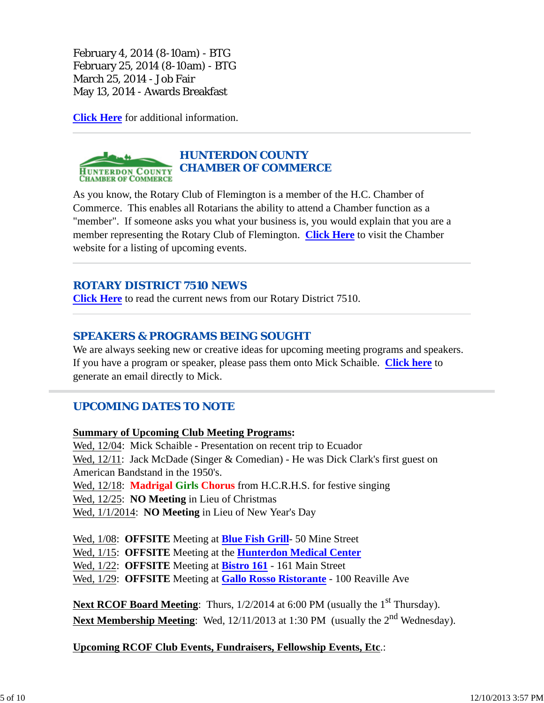February 4, 2014 (8-10am) - BTG February 25, 2014 (8-10am) - BTG March 25, 2014 - Job Fair May 13, 2014 - Awards Breakfast

**Click Here** for additional information.

#### *HUNTERDON COUNTY CHAMBER OF COMMERCE* **HUNTERDON COUNTY**<br>CHAMBER OF COMMERCE

As you know, the Rotary Club of Flemington is a member of the H.C. Chamber of Commerce. This enables all Rotarians the ability to attend a Chamber function as a "member". If someone asks you what your business is, you would explain that you are a member representing the Rotary Club of Flemington. **Click Here** to visit the Chamber website for a listing of upcoming events.

# *ROTARY DISTRICT 7510 NEWS*

**Click Here** to read the current news from our Rotary District 7510.

## *SPEAKERS & PROGRAMS BEING SOUGHT*

We are always seeking new or creative ideas for upcoming meeting programs and speakers. If you have a program or speaker, please pass them onto Mick Schaible. **Click here** to generate an email directly to Mick.

# *UPCOMING DATES TO NOTE*

#### **Summary of Upcoming Club Meeting Programs:**

Wed, 12/04: Mick Schaible - Presentation on recent trip to Ecuador Wed, 12/11: Jack McDade (Singer & Comedian) - He was Dick Clark's first guest on American Bandstand in the 1950's. Wed, 12/18: **Madrigal Girls Chorus** from H.C.R.H.S. for festive singing Wed, 12/25: **NO Meeting** in Lieu of Christmas Wed, 1/1/2014: **NO Meeting** in Lieu of New Year's Day

Wed, 1/08: **OFFSITE** Meeting at **Blue Fish Grill**- 50 Mine Street Wed, 1/15: **OFFSITE** Meeting at the **Hunterdon Medical Center** Wed, 1/22: **OFFSITE** Meeting at **Bistro 161** - 161 Main Street Wed, 1/29: **OFFSITE** Meeting at **Gallo Rosso Ristorante** - 100 Reaville Ave

**Next RCOF Board Meeting:** Thurs,  $1/2/2014$  at 6:00 PM (usually the 1<sup>st</sup> Thursday). Next Membership Meeting: Wed, 12/11/2013 at 1:30 PM (usually the 2<sup>nd</sup> Wednesday).

**Upcoming RCOF Club Events, Fundraisers, Fellowship Events, Etc**.: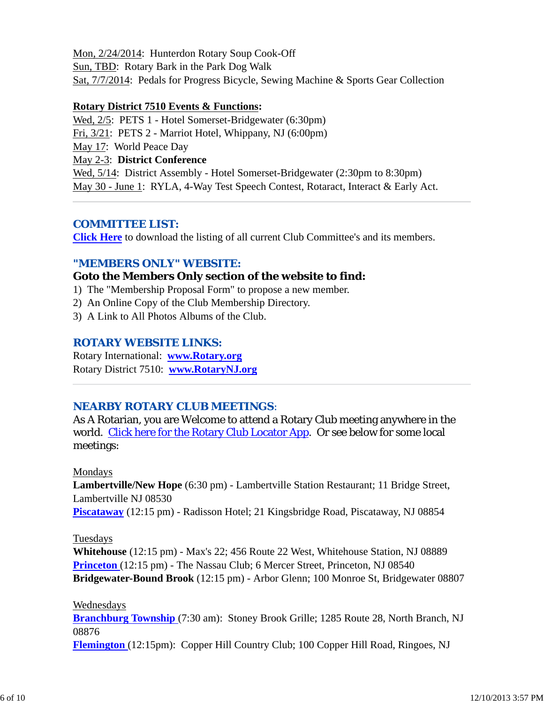Mon, 2/24/2014: Hunterdon Rotary Soup Cook-Off Sun, TBD: Rotary Bark in the Park Dog Walk Sat, 7/7/2014: Pedals for Progress Bicycle, Sewing Machine & Sports Gear Collection

#### **Rotary District 7510 Events & Functions:**

Wed, 2/5: PETS 1 - Hotel Somerset-Bridgewater (6:30pm) Fri, 3/21: PETS 2 - Marriot Hotel, Whippany, NJ (6:00pm)

May 17: World Peace Day

May 2-3: **District Conference**

Wed, 5/14: District Assembly - Hotel Somerset-Bridgewater (2:30pm to 8:30pm) May 30 - June 1: RYLA, 4-Way Test Speech Contest, Rotaract, Interact & Early Act.

#### *COMMITTEE LIST:*

**Click Here** to download the listing of all current Club Committee's and its members.

### *"MEMBERS ONLY" WEBSITE:*

#### **Goto the Members Only section of the website to find:**

- 1) The "Membership Proposal Form" to propose a new member.
- 2) An Online Copy of the Club Membership Directory.
- 3) A Link to All Photos Albums of the Club.

### *ROTARY WEBSITE LINKS:*

Rotary International: **www.Rotary.org** Rotary District 7510: **www.RotaryNJ.org**

### *NEARBY ROTARY CLUB MEETINGS:*

As A Rotarian, you are Welcome to attend a Rotary Club meeting anywhere in the world. Click here for the Rotary Club Locator App. Or see below for some local meetings:

#### Mondays

**Lambertville/New Hope** (6:30 pm) - Lambertville Station Restaurant; 11 Bridge Street, Lambertville NJ 08530 **Piscataway** (12:15 pm) - Radisson Hotel; 21 Kingsbridge Road, Piscataway, NJ 08854

#### Tuesdays

**Whitehouse** (12:15 pm) - Max's 22; 456 Route 22 West, Whitehouse Station, NJ 08889 **Princeton** (12:15 pm) - The Nassau Club; 6 Mercer Street, Princeton, NJ 08540 **Bridgewater-Bound Brook** (12:15 pm) - Arbor Glenn; 100 Monroe St, Bridgewater 08807

Wednesdays

**Branchburg Township** (7:30 am): Stoney Brook Grille; 1285 Route 28, North Branch, NJ 08876

**Flemington** (12:15pm): Copper Hill Country Club; 100 Copper Hill Road, Ringoes, NJ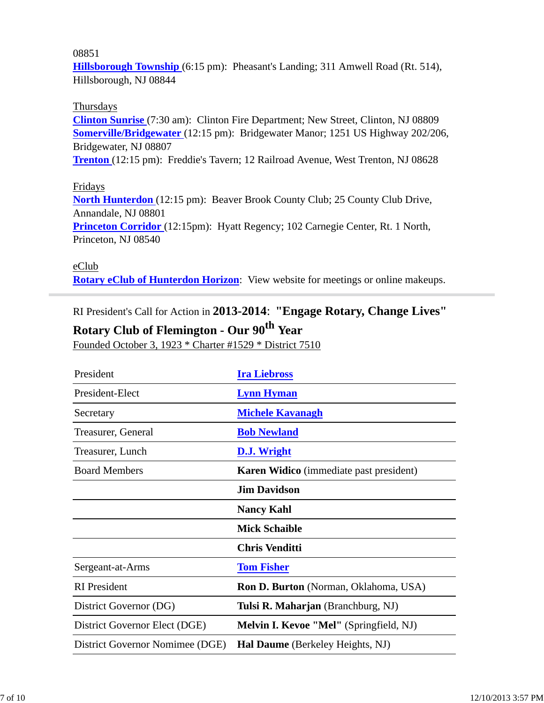#### 08851

**Hillsborough Township** (6:15 pm): Pheasant's Landing; 311 Amwell Road (Rt. 514), Hillsborough, NJ 08844

#### Thursdays

**Clinton Sunrise** (7:30 am): Clinton Fire Department; New Street, Clinton, NJ 08809 **Somerville/Bridgewater** (12:15 pm): Bridgewater Manor; 1251 US Highway 202/206, Bridgewater, NJ 08807

**Trenton** (12:15 pm): Freddie's Tavern; 12 Railroad Avenue, West Trenton, NJ 08628

#### Fridays

**North Hunterdon** (12:15 pm): Beaver Brook County Club; 25 County Club Drive, Annandale, NJ 08801 **Princeton Corridor** (12:15pm): Hyatt Regency; 102 Carnegie Center, Rt. 1 North, Princeton, NJ 08540

eClub **Rotary eClub of Hunterdon Horizon**: View website for meetings or online makeups.

RI President's Call for Action in **2013-2014**: **"Engage Rotary, Change Lives"**

# **Rotary Club of Flemington - Our 90th Year**

Founded October 3, 1923 \* Charter #1529 \* District 7510

| President                       | <b>Ira Liebross</b>                            |
|---------------------------------|------------------------------------------------|
| President-Elect                 | <b>Lynn Hyman</b>                              |
| Secretary                       | <b>Michele Kavanagh</b>                        |
| Treasurer, General              | <b>Bob Newland</b>                             |
| Treasurer, Lunch                | D.J. Wright                                    |
| <b>Board Members</b>            | <b>Karen Widico</b> (immediate past president) |
|                                 | <b>Jim Davidson</b>                            |
|                                 | <b>Nancy Kahl</b>                              |
|                                 | <b>Mick Schaible</b>                           |
|                                 | <b>Chris Venditti</b>                          |
| Sergeant-at-Arms                | <b>Tom Fisher</b>                              |
| <b>RI</b> President             | Ron D. Burton (Norman, Oklahoma, USA)          |
| District Governor (DG)          | Tulsi R. Maharjan (Branchburg, NJ)             |
| District Governor Elect (DGE)   | Melvin I. Kevoe "Mel" (Springfield, NJ)        |
| District Governor Nomimee (DGE) | Hal Daume (Berkeley Heights, NJ)               |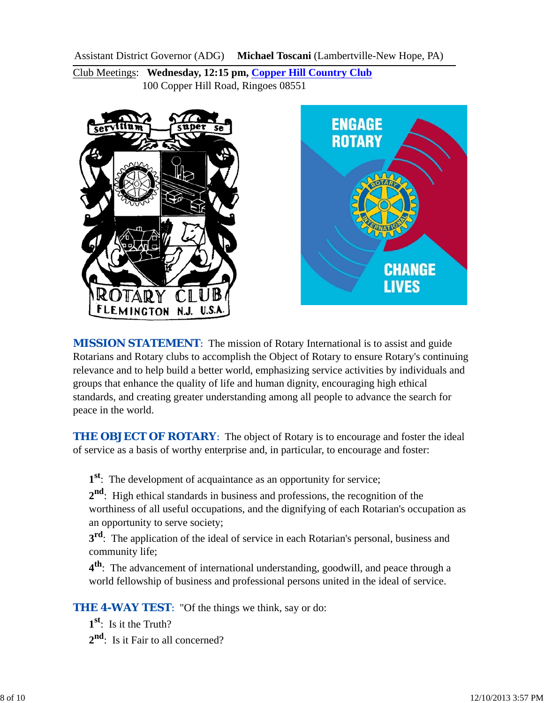Assistant District Governor (ADG) **Michael Toscani** (Lambertville-New Hope, PA)

Club Meetings: **Wednesday, 12:15 pm, Copper Hill Country Club** 100 Copper Hill Road, Ringoes 08551





*MISSION STATEMENT*: The mission of Rotary International is to assist and guide Rotarians and Rotary clubs to accomplish the Object of Rotary to ensure Rotary's continuing relevance and to help build a better world, emphasizing service activities by individuals and groups that enhance the quality of life and human dignity, encouraging high ethical standards, and creating greater understanding among all people to advance the search for peace in the world.

**THE OBJECT OF ROTARY:** The object of Rotary is to encourage and foster the ideal of service as a basis of worthy enterprise and, in particular, to encourage and foster:

**1st**: The development of acquaintance as an opportunity for service;

**2nd**: High ethical standards in business and professions, the recognition of the worthiness of all useful occupations, and the dignifying of each Rotarian's occupation as an opportunity to serve society;

**3rd**: The application of the ideal of service in each Rotarian's personal, business and community life;

**4th**: The advancement of international understanding, goodwill, and peace through a world fellowship of business and professional persons united in the ideal of service.

**THE 4-WAY TEST:** "Of the things we think, say or do:

**1st**: Is it the Truth? 2<sup>nd</sup>: Is it Fair to all concerned?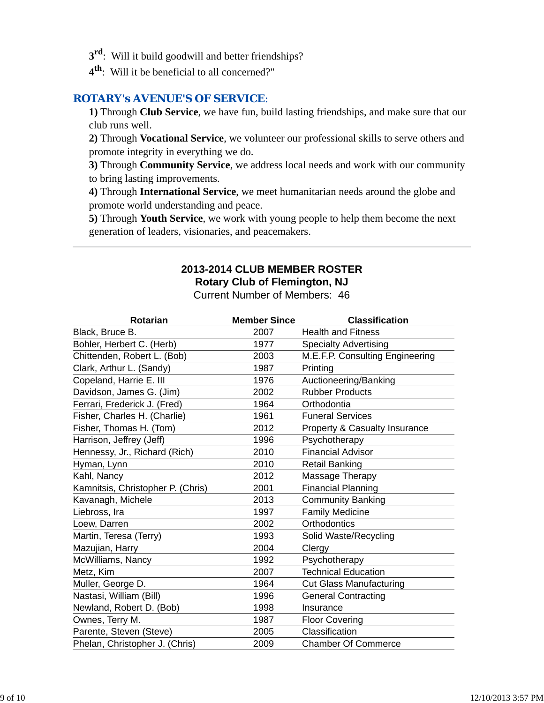- **3rd**: Will it build goodwill and better friendships?
- **4th**: Will it be beneficial to all concerned?"

#### *ROTARY's AVENUE'S OF SERVICE*:

**1)** Through **Club Service**, we have fun, build lasting friendships, and make sure that our club runs well.

**2)** Through **Vocational Service**, we volunteer our professional skills to serve others and promote integrity in everything we do.

**3)** Through **Community Service**, we address local needs and work with our community to bring lasting improvements.

**4)** Through **International Service**, we meet humanitarian needs around the globe and promote world understanding and peace.

**5)** Through **Youth Service**, we work with young people to help them become the next generation of leaders, visionaries, and peacemakers.

# **2013-2014 CLUB MEMBER ROSTER Rotary Club of Flemington, NJ**

Current Number of Members: 46

| <b>Rotarian</b>                   | <b>Member Since</b> | <b>Classification</b>           |
|-----------------------------------|---------------------|---------------------------------|
| Black, Bruce B.                   | 2007                | <b>Health and Fitness</b>       |
| Bohler, Herbert C. (Herb)         | 1977                | <b>Specialty Advertising</b>    |
| Chittenden, Robert L. (Bob)       | 2003                | M.E.F.P. Consulting Engineering |
| Clark, Arthur L. (Sandy)          | 1987                | Printing                        |
| Copeland, Harrie E. III           | 1976                | Auctioneering/Banking           |
| Davidson, James G. (Jim)          | 2002                | <b>Rubber Products</b>          |
| Ferrari, Frederick J. (Fred)      | 1964                | Orthodontia                     |
| Fisher, Charles H. (Charlie)      | 1961                | <b>Funeral Services</b>         |
| Fisher, Thomas H. (Tom)           | 2012                | Property & Casualty Insurance   |
| Harrison, Jeffrey (Jeff)          | 1996                | Psychotherapy                   |
| Hennessy, Jr., Richard (Rich)     | 2010                | <b>Financial Advisor</b>        |
| Hyman, Lynn                       | 2010                | <b>Retail Banking</b>           |
| Kahl, Nancy                       | 2012                | Massage Therapy                 |
| Kamnitsis, Christopher P. (Chris) | 2001                | <b>Financial Planning</b>       |
| Kavanagh, Michele                 | 2013                | <b>Community Banking</b>        |
| Liebross, Ira                     | 1997                | <b>Family Medicine</b>          |
| Loew, Darren                      | 2002                | Orthodontics                    |
| Martin, Teresa (Terry)            | 1993                | Solid Waste/Recycling           |
| Mazujian, Harry                   | 2004                | Clergy                          |
| McWilliams, Nancy                 | 1992                | Psychotherapy                   |
| Metz, Kim                         | 2007                | <b>Technical Education</b>      |
| Muller, George D.                 | 1964                | <b>Cut Glass Manufacturing</b>  |
| Nastasi, William (Bill)           | 1996                | <b>General Contracting</b>      |
| Newland, Robert D. (Bob)          | 1998                | Insurance                       |
| Ownes, Terry M.                   | 1987                | <b>Floor Covering</b>           |
| Parente, Steven (Steve)           | 2005                | Classification                  |
| Phelan, Christopher J. (Chris)    | 2009                | <b>Chamber Of Commerce</b>      |